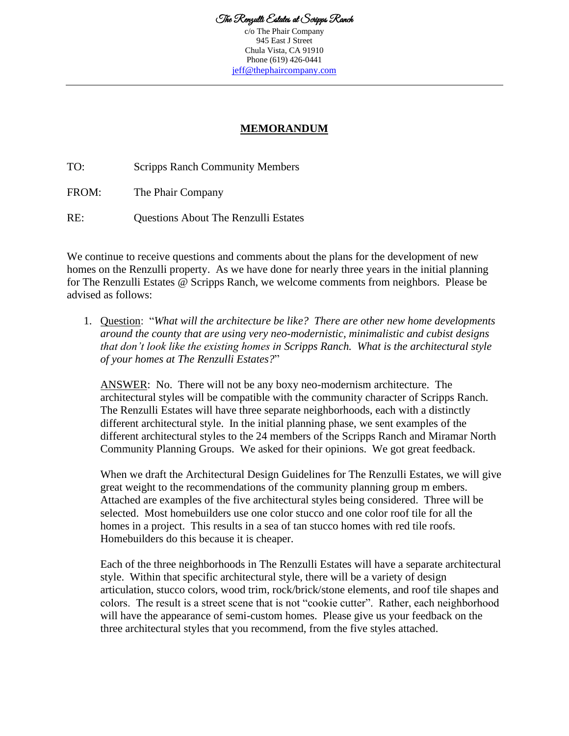c/o The Phair Company 945 East J Street Chula Vista, CA 91910 Phone (619) 426-0441 [jeff@thephaircompany.com](mailto:jeff@thephaircompany.com)

## **MEMORANDUM**

TO: Scripps Ranch Community Members

FROM: The Phair Company

RE: Questions About The Renzulli Estates

We continue to receive questions and comments about the plans for the development of new homes on the Renzulli property. As we have done for nearly three years in the initial planning for The Renzulli Estates @ Scripps Ranch, we welcome comments from neighbors. Please be advised as follows:

1. Question: "*What will the architecture be like? There are other new home developments around the county that are using very neo-modernistic, minimalistic and cubist designs that don't look like the existing homes in Scripps Ranch. What is the architectural style of your homes at The Renzulli Estates?*"

ANSWER: No. There will not be any boxy neo-modernism architecture. The architectural styles will be compatible with the community character of Scripps Ranch. The Renzulli Estates will have three separate neighborhoods, each with a distinctly different architectural style. In the initial planning phase, we sent examples of the different architectural styles to the 24 members of the Scripps Ranch and Miramar North Community Planning Groups. We asked for their opinions. We got great feedback.

When we draft the Architectural Design Guidelines for The Renzulli Estates, we will give great weight to the recommendations of the community planning group m embers. Attached are examples of the five architectural styles being considered. Three will be selected. Most homebuilders use one color stucco and one color roof tile for all the homes in a project. This results in a sea of tan stucco homes with red tile roofs. Homebuilders do this because it is cheaper.

Each of the three neighborhoods in The Renzulli Estates will have a separate architectural style. Within that specific architectural style, there will be a variety of design articulation, stucco colors, wood trim, rock/brick/stone elements, and roof tile shapes and colors. The result is a street scene that is not "cookie cutter". Rather, each neighborhood will have the appearance of semi-custom homes. Please give us your feedback on the three architectural styles that you recommend, from the five styles attached.